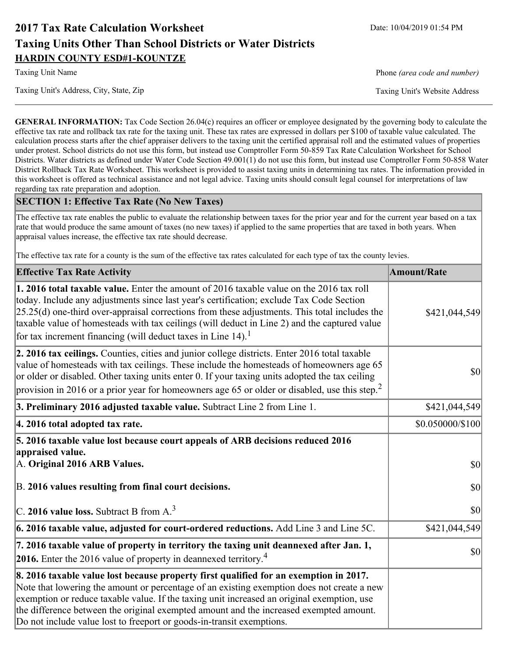# **2017 Tax Rate Calculation Worksheet** Date: 10/04/2019 01:54 PM **Taxing Units Other Than School Districts or Water Districts HARDIN COUNTY ESD#1-KOUNTZE**

Taxing Unit's Address, City, State, Zip Taxing Unit's Website Address

Taxing Unit Name **Phone** *(area code and number)* Phone *(area code and number)* 

**GENERAL INFORMATION:** Tax Code Section 26.04(c) requires an officer or employee designated by the governing body to calculate the effective tax rate and rollback tax rate for the taxing unit. These tax rates are expressed in dollars per \$100 of taxable value calculated. The calculation process starts after the chief appraiser delivers to the taxing unit the certified appraisal roll and the estimated values of properties under protest. School districts do not use this form, but instead use Comptroller Form 50-859 Tax Rate Calculation Worksheet for School Districts. Water districts as defined under Water Code Section 49.001(1) do not use this form, but instead use Comptroller Form 50-858 Water District Rollback Tax Rate Worksheet. This worksheet is provided to assist taxing units in determining tax rates. The information provided in this worksheet is offered as technical assistance and not legal advice. Taxing units should consult legal counsel for interpretations of law regarding tax rate preparation and adoption.

### **SECTION 1: Effective Tax Rate (No New Taxes)**

The effective tax rate enables the public to evaluate the relationship between taxes for the prior year and for the current year based on a tax rate that would produce the same amount of taxes (no new taxes) if applied to the same properties that are taxed in both years. When appraisal values increase, the effective tax rate should decrease.

The effective tax rate for a county is the sum of the effective tax rates calculated for each type of tax the county levies.

| <b>Effective Tax Rate Activity</b>                                                                                                                                                                                                                                                                                                                                                                                                                                          | <b>Amount/Rate</b> |
|-----------------------------------------------------------------------------------------------------------------------------------------------------------------------------------------------------------------------------------------------------------------------------------------------------------------------------------------------------------------------------------------------------------------------------------------------------------------------------|--------------------|
| <b>1. 2016 total taxable value.</b> Enter the amount of 2016 taxable value on the 2016 tax roll<br>today. Include any adjustments since last year's certification; exclude Tax Code Section<br>$[25.25(d)$ one-third over-appraisal corrections from these adjustments. This total includes the<br>taxable value of homesteads with tax ceilings (will deduct in Line 2) and the captured value<br>for tax increment financing (will deduct taxes in Line 14). <sup>1</sup> | \$421,044,549      |
| 2. 2016 tax ceilings. Counties, cities and junior college districts. Enter 2016 total taxable<br>value of homesteads with tax ceilings. These include the homesteads of homeowners age 65<br>or older or disabled. Other taxing units enter 0. If your taxing units adopted the tax ceiling<br>provision in 2016 or a prior year for homeowners age 65 or older or disabled, use this step. <sup>2</sup>                                                                    | \$0                |
| 3. Preliminary 2016 adjusted taxable value. Subtract Line 2 from Line 1.                                                                                                                                                                                                                                                                                                                                                                                                    | \$421,044,549      |
| 4. 2016 total adopted tax rate.                                                                                                                                                                                                                                                                                                                                                                                                                                             | \$0.050000/\$100   |
| 5. 2016 taxable value lost because court appeals of ARB decisions reduced 2016<br>appraised value.<br>A. Original 2016 ARB Values.                                                                                                                                                                                                                                                                                                                                          | \$0                |
| B. 2016 values resulting from final court decisions.                                                                                                                                                                                                                                                                                                                                                                                                                        | \$0                |
| C. 2016 value loss. Subtract B from $A3$                                                                                                                                                                                                                                                                                                                                                                                                                                    | \$0                |
| 6. 2016 taxable value, adjusted for court-ordered reductions. Add Line 3 and Line 5C.                                                                                                                                                                                                                                                                                                                                                                                       | \$421,044,549      |
| 7. 2016 taxable value of property in territory the taxing unit deannexed after Jan. 1,<br><b>2016.</b> Enter the 2016 value of property in deannexed territory. <sup>4</sup>                                                                                                                                                                                                                                                                                                | \$0                |
| 8. 2016 taxable value lost because property first qualified for an exemption in 2017.<br>Note that lowering the amount or percentage of an existing exemption does not create a new<br>exemption or reduce taxable value. If the taxing unit increased an original exemption, use<br>the difference between the original exempted amount and the increased exempted amount.<br>Do not include value lost to freeport or goods-in-transit exemptions.                        |                    |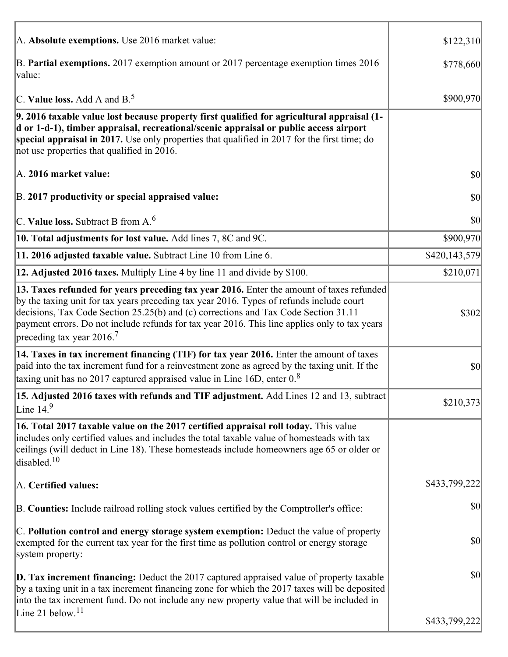| A. Absolute exemptions. Use 2016 market value:                                                                                                                                                                                                                                                                                                                                                                         | \$122,310     |
|------------------------------------------------------------------------------------------------------------------------------------------------------------------------------------------------------------------------------------------------------------------------------------------------------------------------------------------------------------------------------------------------------------------------|---------------|
| B. Partial exemptions. 2017 exemption amount or 2017 percentage exemption times 2016<br>value:                                                                                                                                                                                                                                                                                                                         | \$778,660     |
| C. Value loss. Add A and $B^5$ .                                                                                                                                                                                                                                                                                                                                                                                       | \$900,970     |
| 9. 2016 taxable value lost because property first qualified for agricultural appraisal (1-<br>d or 1-d-1), timber appraisal, recreational/scenic appraisal or public access airport<br>special appraisal in 2017. Use only properties that qualified in 2017 for the first time; do<br>not use properties that qualified in 2016.                                                                                      |               |
| A. 2016 market value:                                                                                                                                                                                                                                                                                                                                                                                                  | 30            |
| B. 2017 productivity or special appraised value:                                                                                                                                                                                                                                                                                                                                                                       | \$0           |
| C. Value loss. Subtract B from $A6$                                                                                                                                                                                                                                                                                                                                                                                    | \$0           |
| 10. Total adjustments for lost value. Add lines 7, 8C and 9C.                                                                                                                                                                                                                                                                                                                                                          | \$900,970     |
| 11. 2016 adjusted taxable value. Subtract Line 10 from Line 6.                                                                                                                                                                                                                                                                                                                                                         | \$420,143,579 |
| 12. Adjusted 2016 taxes. Multiply Line 4 by line 11 and divide by \$100.                                                                                                                                                                                                                                                                                                                                               | \$210,071]    |
| 13. Taxes refunded for years preceding tax year 2016. Enter the amount of taxes refunded<br>by the taxing unit for tax years preceding tax year 2016. Types of refunds include court<br>decisions, Tax Code Section 25.25(b) and (c) corrections and Tax Code Section 31.11<br>payment errors. Do not include refunds for tax year 2016. This line applies only to tax years<br>preceding tax year $2016$ <sup>7</sup> | \$302         |
| 14. Taxes in tax increment financing (TIF) for tax year 2016. Enter the amount of taxes<br>paid into the tax increment fund for a reinvestment zone as agreed by the taxing unit. If the<br>taxing unit has no 2017 captured appraised value in Line 16D, enter $08$                                                                                                                                                   | \$0           |
| 15. Adjusted 2016 taxes with refunds and TIF adjustment. Add Lines 12 and 13, subtract<br>Line $149$                                                                                                                                                                                                                                                                                                                   | \$210,373     |
| 16. Total 2017 taxable value on the 2017 certified appraisal roll today. This value<br>includes only certified values and includes the total taxable value of homesteads with tax<br>ceilings (will deduct in Line 18). These homesteads include homeowners age 65 or older or<br>disabled. <sup>10</sup>                                                                                                              |               |
| A. Certified values:                                                                                                                                                                                                                                                                                                                                                                                                   | \$433,799,222 |
| B. Counties: Include railroad rolling stock values certified by the Comptroller's office:                                                                                                                                                                                                                                                                                                                              | \$0           |
| C. Pollution control and energy storage system exemption: Deduct the value of property<br>exempted for the current tax year for the first time as pollution control or energy storage<br>system property:                                                                                                                                                                                                              | \$0           |
| D. Tax increment financing: Deduct the 2017 captured appraised value of property taxable<br>by a taxing unit in a tax increment financing zone for which the 2017 taxes will be deposited<br>into the tax increment fund. Do not include any new property value that will be included in                                                                                                                               | \$0           |
| Line 21 below. <sup>11</sup>                                                                                                                                                                                                                                                                                                                                                                                           | \$433,799,222 |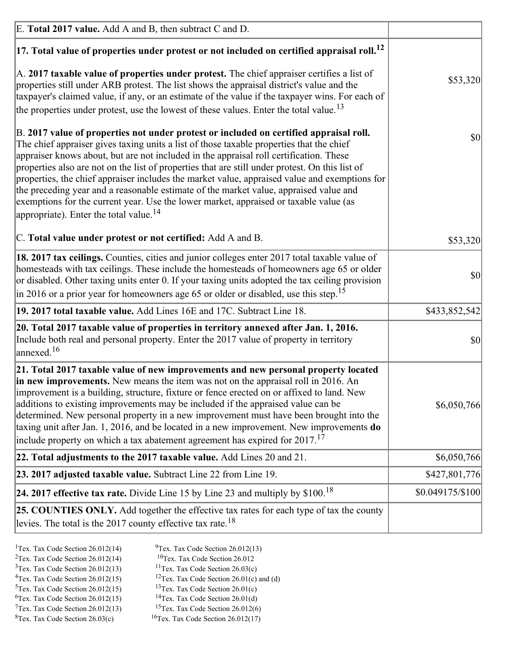| E. Total 2017 value. Add A and B, then subtract C and D.                                                                                                                                                                                                                                                                                                                                                                                                                                                                                                                                                                                                                                                                 |                  |
|--------------------------------------------------------------------------------------------------------------------------------------------------------------------------------------------------------------------------------------------------------------------------------------------------------------------------------------------------------------------------------------------------------------------------------------------------------------------------------------------------------------------------------------------------------------------------------------------------------------------------------------------------------------------------------------------------------------------------|------------------|
| $ 17$ . Total value of properties under protest or not included on certified appraisal roll. <sup>12</sup>                                                                                                                                                                                                                                                                                                                                                                                                                                                                                                                                                                                                               |                  |
| A. 2017 taxable value of properties under protest. The chief appraiser certifies a list of<br>properties still under ARB protest. The list shows the appraisal district's value and the<br>taxpayer's claimed value, if any, or an estimate of the value if the taxpayer wins. For each of<br>the properties under protest, use the lowest of these values. Enter the total value. <sup>13</sup>                                                                                                                                                                                                                                                                                                                         | \$53,320         |
| B. 2017 value of properties not under protest or included on certified appraisal roll.<br>The chief appraiser gives taxing units a list of those taxable properties that the chief<br>appraiser knows about, but are not included in the appraisal roll certification. These<br>properties also are not on the list of properties that are still under protest. On this list of<br>properties, the chief appraiser includes the market value, appraised value and exemptions for<br>the preceding year and a reasonable estimate of the market value, appraised value and<br>exemptions for the current year. Use the lower market, appraised or taxable value (as<br>appropriate). Enter the total value. <sup>14</sup> | $ 10\rangle$     |
| C. Total value under protest or not certified: Add A and B.                                                                                                                                                                                                                                                                                                                                                                                                                                                                                                                                                                                                                                                              | \$53,320         |
| 18. 2017 tax ceilings. Counties, cities and junior colleges enter 2017 total taxable value of<br>homesteads with tax ceilings. These include the homesteads of homeowners age 65 or older<br>or disabled. Other taxing units enter 0. If your taxing units adopted the tax ceiling provision<br>$\vert$ in 2016 or a prior year for homeowners age 65 or older or disabled, use this step. <sup>15</sup>                                                                                                                                                                                                                                                                                                                 | $ 10\rangle$     |
| 19. 2017 total taxable value. Add Lines 16E and 17C. Subtract Line 18.                                                                                                                                                                                                                                                                                                                                                                                                                                                                                                                                                                                                                                                   | \$433,852,542    |
| 20. Total 2017 taxable value of properties in territory annexed after Jan. 1, 2016.<br>Include both real and personal property. Enter the 2017 value of property in territory<br>annexed. <sup>16</sup>                                                                                                                                                                                                                                                                                                                                                                                                                                                                                                                  | $ 10\rangle$     |
| 21. Total 2017 taxable value of new improvements and new personal property located<br>in new improvements. New means the item was not on the appraisal roll in 2016. An<br>improvement is a building, structure, fixture or fence erected on or affixed to land. New<br>additions to existing improvements may be included if the appraised value can be<br>determined. New personal property in a new improvement must have been brought into the<br>taxing unit after Jan. 1, 2016, and be located in a new improvement. New improvements do<br>include property on which a tax abatement agreement has expired for $2017$ <sup>17</sup>                                                                               | \$6,050,766      |
| 22. Total adjustments to the 2017 taxable value. Add Lines 20 and 21.                                                                                                                                                                                                                                                                                                                                                                                                                                                                                                                                                                                                                                                    | \$6,050,766      |
| 23. 2017 adjusted taxable value. Subtract Line 22 from Line 19.                                                                                                                                                                                                                                                                                                                                                                                                                                                                                                                                                                                                                                                          | \$427,801,776    |
| 24. 2017 effective tax rate. Divide Line 15 by Line 23 and multiply by $$100$ . <sup>18</sup>                                                                                                                                                                                                                                                                                                                                                                                                                                                                                                                                                                                                                            | \$0.049175/\$100 |
| <b>25. COUNTIES ONLY.</b> Add together the effective tax rates for each type of tax the county<br>levies. The total is the 2017 county effective tax rate. <sup>18</sup>                                                                                                                                                                                                                                                                                                                                                                                                                                                                                                                                                 |                  |

- <sup>2</sup>Tex. Tax Code Section 26.012(14)
- <sup>1</sup>Tex. Tax Code Section 26.012(14) <sup>9</sup>Tex. Tax Code Section 26.012(13) <sup>9</sup>Tex. Tax Code Section 26.012
	-
- <sup>3</sup>Tex. Tax Code Section 26.012(13) <sup>11</sup>Tex. Tax Code Section 26.03(c) <sup>4</sup>Tex. Tax Code Section 26.01(c) and <sup>12</sup>Tex. Tax Code Section 26.01(c) and <sup>12</sup>Tex. Tax Code Section 26.01(c) and <sup>12</sup>Tex. Tax Code Section 26.01(c)
	- <sup>12</sup>Tex. Tax Code Section 26.01(c) and (d)
- 
- <sup>5</sup>Tex. Tax Code Section 26.012(15) <sup>13</sup>Tex. Tax Code Section 26.01(c) <sup>6</sup>Tex. Tax Code Section 26.01(d)
- <sup>6</sup>Tex. Tax Code Section 26.012(15) <sup>14</sup>Tex. Tax Code Section 26.01(d)<sup>7</sup>Tex. Tax Code Section 26.012(6)  $7$ Tex. Tax Code Section 26.012(13)
- 
- 
- ${}^{8}$ Tex. Tax Code Section 26.03(c)  ${}^{16}$ Tex. Tax Code Section 26.012(17)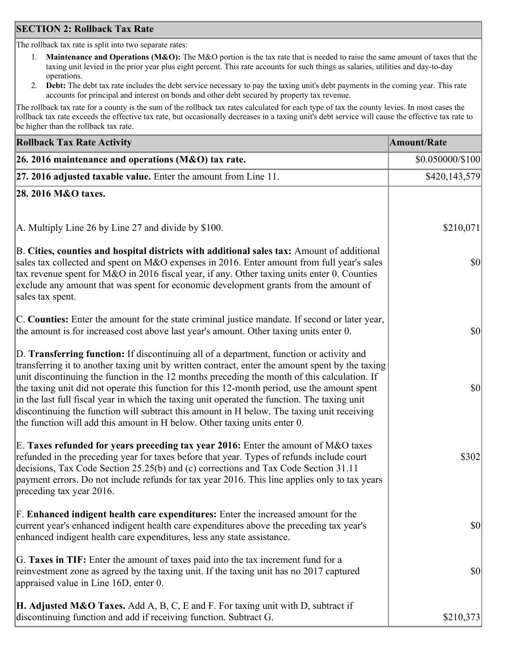### **SECTION 2: Rollback Tax Rate**

The rollback tax rate is split into two separate rates:

- 1. **Maintenance and Operations (M&O):** The M&O portion is the tax rate that is needed to raise the same amount of taxes that the taxing unit levied in the prior year plus eight percent. This rate accounts for such things as salaries, utilities and day-to-day operations.
- 2. **Debt:** The debt tax rate includes the debt service necessary to pay the taxing unit's debt payments in the coming year. This rate accounts for principal and interest on bonds and other debt secured by property tax revenue.

The rollback tax rate for a county is the sum of the rollback tax rates calculated for each type of tax the county levies. In most cases the rollback tax rate exceeds the effective tax rate, but occasionally decreases in a taxing unit's debt service will cause the effective tax rate to be higher than the rollback tax rate.

| <b>Rollback Tax Rate Activity</b>                                                                                                                                                                                                                                                                                                                                                                                                                                                                                                                                                                                                                                       | <b>Amount/Rate</b> |
|-------------------------------------------------------------------------------------------------------------------------------------------------------------------------------------------------------------------------------------------------------------------------------------------------------------------------------------------------------------------------------------------------------------------------------------------------------------------------------------------------------------------------------------------------------------------------------------------------------------------------------------------------------------------------|--------------------|
| 26. 2016 maintenance and operations (M&O) tax rate.                                                                                                                                                                                                                                                                                                                                                                                                                                                                                                                                                                                                                     | \$0.050000/\$100   |
| $ 27.2016$ adjusted taxable value. Enter the amount from Line 11.                                                                                                                                                                                                                                                                                                                                                                                                                                                                                                                                                                                                       | \$420,143,579      |
| 28. 2016 M&O taxes.                                                                                                                                                                                                                                                                                                                                                                                                                                                                                                                                                                                                                                                     |                    |
| A. Multiply Line 26 by Line 27 and divide by \$100.                                                                                                                                                                                                                                                                                                                                                                                                                                                                                                                                                                                                                     | \$210,071          |
| B. Cities, counties and hospital districts with additional sales tax: Amount of additional<br>sales tax collected and spent on M&O expenses in 2016. Enter amount from full year's sales<br>tax revenue spent for M&O in 2016 fiscal year, if any. Other taxing units enter 0. Counties<br>exclude any amount that was spent for economic development grants from the amount of<br>sales tax spent.                                                                                                                                                                                                                                                                     | $ 10\rangle$       |
| C. Counties: Enter the amount for the state criminal justice mandate. If second or later year,<br>the amount is for increased cost above last year's amount. Other taxing units enter 0.                                                                                                                                                                                                                                                                                                                                                                                                                                                                                | 30                 |
| D. Transferring function: If discontinuing all of a department, function or activity and<br>transferring it to another taxing unit by written contract, enter the amount spent by the taxing<br>unit discontinuing the function in the 12 months preceding the month of this calculation. If<br>the taxing unit did not operate this function for this 12-month period, use the amount spent<br>in the last full fiscal year in which the taxing unit operated the function. The taxing unit<br>discontinuing the function will subtract this amount in H below. The taxing unit receiving<br>the function will add this amount in H below. Other taxing units enter 0. | \$0                |
| E. Taxes refunded for years preceding tax year 2016: Enter the amount of M&O taxes<br>refunded in the preceding year for taxes before that year. Types of refunds include court<br>decisions, Tax Code Section 25.25(b) and (c) corrections and Tax Code Section 31.11<br>payment errors. Do not include refunds for tax year 2016. This line applies only to tax years<br>preceding tax year 2016.                                                                                                                                                                                                                                                                     | \$302              |
| F. Enhanced indigent health care expenditures: Enter the increased amount for the<br>current year's enhanced indigent health care expenditures above the preceding tax year's<br>enhanced indigent health care expenditures, less any state assistance.                                                                                                                                                                                                                                                                                                                                                                                                                 | $ 10\rangle$       |
| G. Taxes in TIF: Enter the amount of taxes paid into the tax increment fund for a<br>reinvestment zone as agreed by the taxing unit. If the taxing unit has no 2017 captured<br>appraised value in Line 16D, enter 0.                                                                                                                                                                                                                                                                                                                                                                                                                                                   | $ 10\rangle$       |
| <b>H. Adjusted M&amp;O Taxes.</b> Add A, B, C, E and F. For taxing unit with D, subtract if<br>discontinuing function and add if receiving function. Subtract G.                                                                                                                                                                                                                                                                                                                                                                                                                                                                                                        | \$210,373          |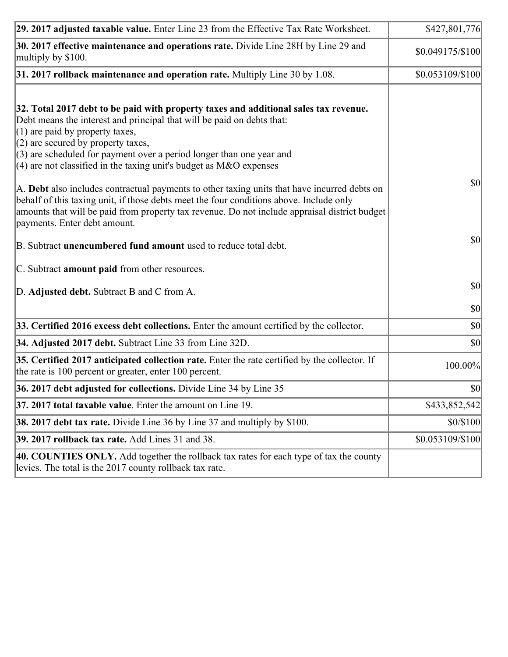| 29. 2017 adjusted taxable value. Enter Line 23 from the Effective Tax Rate Worksheet.                                                                                                                                                                                                                                                                                                                                                                                                                                                                                                                                                                                                                                     | \$427,801,776    |
|---------------------------------------------------------------------------------------------------------------------------------------------------------------------------------------------------------------------------------------------------------------------------------------------------------------------------------------------------------------------------------------------------------------------------------------------------------------------------------------------------------------------------------------------------------------------------------------------------------------------------------------------------------------------------------------------------------------------------|------------------|
| 30. 2017 effective maintenance and operations rate. Divide Line 28H by Line 29 and<br>multiply by \$100.                                                                                                                                                                                                                                                                                                                                                                                                                                                                                                                                                                                                                  | \$0.049175/\$100 |
| $31.2017$ rollback maintenance and operation rate. Multiply Line 30 by 1.08.                                                                                                                                                                                                                                                                                                                                                                                                                                                                                                                                                                                                                                              | \$0.053109/\$100 |
| 32. Total 2017 debt to be paid with property taxes and additional sales tax revenue.<br>Debt means the interest and principal that will be paid on debts that:<br>$(1)$ are paid by property taxes,<br>$(2)$ are secured by property taxes,<br>$(3)$ are scheduled for payment over a period longer than one year and<br>(4) are not classified in the taxing unit's budget as $M&O$ expenses<br>A. Debt also includes contractual payments to other taxing units that have incurred debts on<br>behalf of this taxing unit, if those debts meet the four conditions above. Include only<br>amounts that will be paid from property tax revenue. Do not include appraisal district budget<br>payments. Enter debt amount. | 30               |
| B. Subtract unencumbered fund amount used to reduce total debt.                                                                                                                                                                                                                                                                                                                                                                                                                                                                                                                                                                                                                                                           | \$0              |
| C. Subtract amount paid from other resources.                                                                                                                                                                                                                                                                                                                                                                                                                                                                                                                                                                                                                                                                             |                  |
| D. Adjusted debt. Subtract B and C from A.                                                                                                                                                                                                                                                                                                                                                                                                                                                                                                                                                                                                                                                                                | $ 10\rangle$     |
|                                                                                                                                                                                                                                                                                                                                                                                                                                                                                                                                                                                                                                                                                                                           | $ 10\rangle$     |
| 33. Certified 2016 excess debt collections. Enter the amount certified by the collector.                                                                                                                                                                                                                                                                                                                                                                                                                                                                                                                                                                                                                                  | $ 10\rangle$     |
| 34. Adjusted 2017 debt. Subtract Line 33 from Line 32D.                                                                                                                                                                                                                                                                                                                                                                                                                                                                                                                                                                                                                                                                   | \$0              |
| 35. Certified 2017 anticipated collection rate. Enter the rate certified by the collector. If<br>the rate is 100 percent or greater, enter 100 percent.                                                                                                                                                                                                                                                                                                                                                                                                                                                                                                                                                                   | 100.00%          |
| 36. 2017 debt adjusted for collections. Divide Line 34 by Line 35                                                                                                                                                                                                                                                                                                                                                                                                                                                                                                                                                                                                                                                         | 30               |
| 37. 2017 total taxable value. Enter the amount on Line 19.                                                                                                                                                                                                                                                                                                                                                                                                                                                                                                                                                                                                                                                                | \$433,852,542    |
| <b>38. 2017 debt tax rate.</b> Divide Line 36 by Line 37 and multiply by \$100.                                                                                                                                                                                                                                                                                                                                                                                                                                                                                                                                                                                                                                           | \$0/\$100        |
| 39. 2017 rollback tax rate. Add Lines 31 and 38.                                                                                                                                                                                                                                                                                                                                                                                                                                                                                                                                                                                                                                                                          | \$0.053109/\$100 |
| 40. COUNTIES ONLY. Add together the rollback tax rates for each type of tax the county<br>levies. The total is the 2017 county rollback tax rate.                                                                                                                                                                                                                                                                                                                                                                                                                                                                                                                                                                         |                  |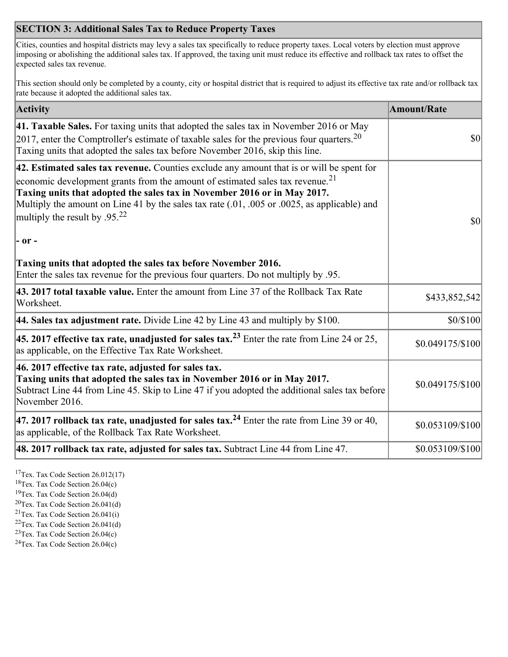## **SECTION 3: Additional Sales Tax to Reduce Property Taxes**

Cities, counties and hospital districts may levy a sales tax specifically to reduce property taxes. Local voters by election must approve imposing or abolishing the additional sales tax. If approved, the taxing unit must reduce its effective and rollback tax rates to offset the expected sales tax revenue.

This section should only be completed by a county, city or hospital district that is required to adjust its effective tax rate and/or rollback tax rate because it adopted the additional sales tax.

| <b>Activity</b>                                                                                                                                                                                                                                                                                                                                                                                                 | <b>Amount/Rate</b> |
|-----------------------------------------------------------------------------------------------------------------------------------------------------------------------------------------------------------------------------------------------------------------------------------------------------------------------------------------------------------------------------------------------------------------|--------------------|
| 41. Taxable Sales. For taxing units that adopted the sales tax in November 2016 or May<br>[2017, enter the Comptroller's estimate of taxable sales for the previous four quarters. <sup>20</sup><br>Taxing units that adopted the sales tax before November 2016, skip this line.                                                                                                                               | $\vert$ so $\vert$ |
| 42. Estimated sales tax revenue. Counties exclude any amount that is or will be spent for<br>economic development grants from the amount of estimated sales tax revenue. <sup>21</sup><br>Taxing units that adopted the sales tax in November 2016 or in May 2017.<br>Multiply the amount on Line 41 by the sales tax rate (.01, .005 or .0025, as applicable) and<br>multiply the result by .95. <sup>22</sup> | \$0                |
| $ -$ or $-$                                                                                                                                                                                                                                                                                                                                                                                                     |                    |
| Taxing units that adopted the sales tax before November 2016.<br>Enter the sales tax revenue for the previous four quarters. Do not multiply by .95.                                                                                                                                                                                                                                                            |                    |
| 43. 2017 total taxable value. Enter the amount from Line 37 of the Rollback Tax Rate<br>Worksheet.                                                                                                                                                                                                                                                                                                              | \$433,852,542      |
| 44. Sales tax adjustment rate. Divide Line 42 by Line 43 and multiply by $$100$ .                                                                                                                                                                                                                                                                                                                               | \$0/\$100          |
| 45. 2017 effective tax rate, unadjusted for sales tax. <sup>23</sup> Enter the rate from Line 24 or 25,<br>as applicable, on the Effective Tax Rate Worksheet.                                                                                                                                                                                                                                                  | \$0.049175/\$100   |
| 46. 2017 effective tax rate, adjusted for sales tax.<br>Taxing units that adopted the sales tax in November 2016 or in May 2017.<br>Subtract Line 44 from Line 45. Skip to Line 47 if you adopted the additional sales tax before<br>November 2016.                                                                                                                                                             | \$0.049175/\$100   |
| 47. 2017 rollback tax rate, unadjusted for sales tax. <sup>24</sup> Enter the rate from Line 39 or 40,<br>as applicable, of the Rollback Tax Rate Worksheet.                                                                                                                                                                                                                                                    | \$0.053109/\$100   |
| $ 48.2017$ rollback tax rate, adjusted for sales tax. Subtract Line 44 from Line 47.                                                                                                                                                                                                                                                                                                                            | \$0.053109/\$100   |

<sup>17</sup>Tex. Tax Code Section 26.012(17)

<sup>18</sup>Tex. Tax Code Section 26.04(c)

<sup>19</sup>Tex. Tax Code Section 26.04(d)

<sup>20</sup>Tex. Tax Code Section 26.041(d)

- $21$ Tex. Tax Code Section 26.041(i)
- <sup>22</sup>Tex. Tax Code Section 26.041(d)
- <sup>23</sup>Tex. Tax Code Section  $26.04(c)$

<sup>24</sup>Tex. Tax Code Section  $26.04(c)$